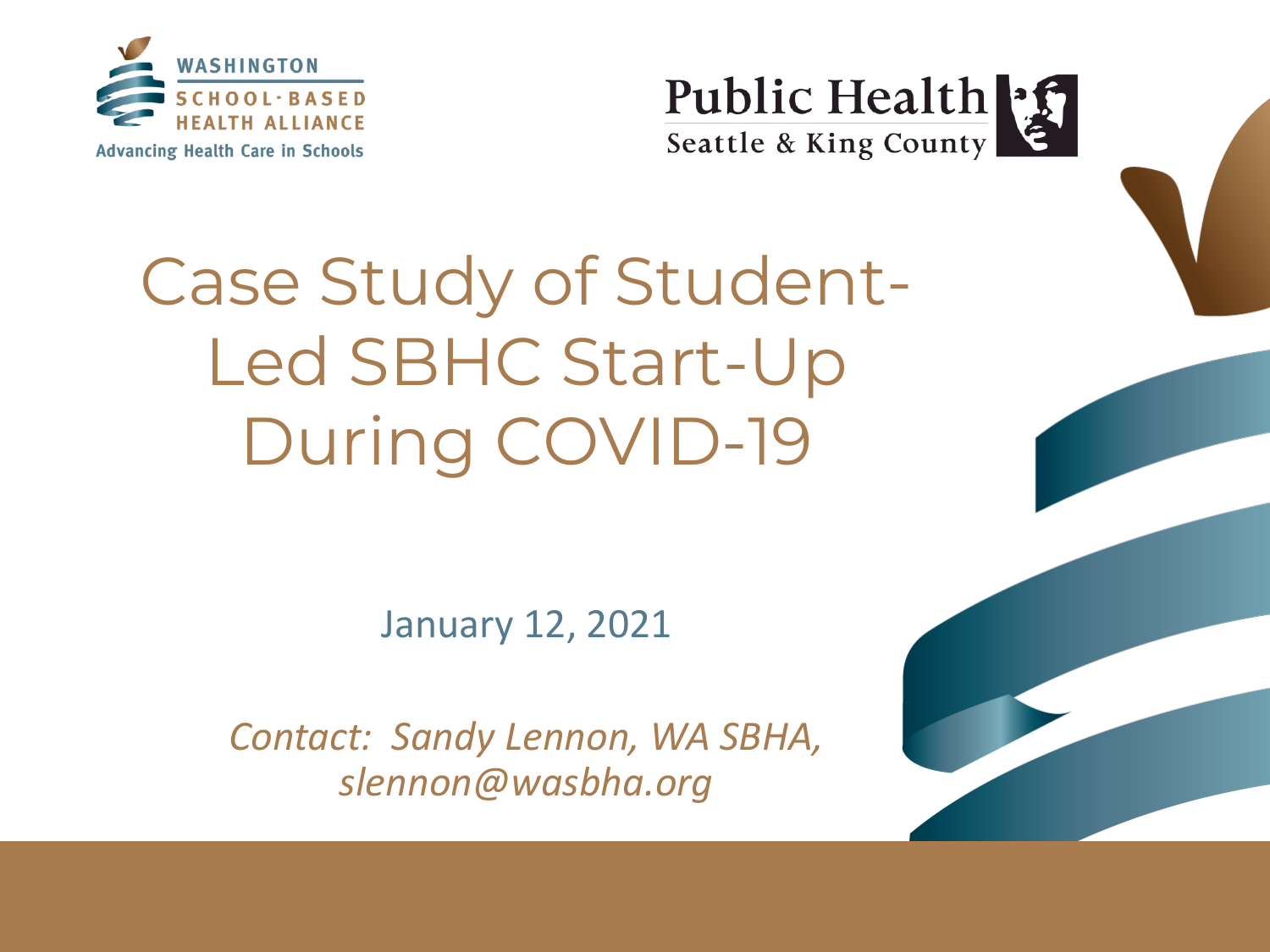



## Case Study of Student-Led SBHC Start-Up During COVID-19

January 12, 2021

*Contact: Sandy Lennon, WA SBHA, slennon@wasbha.org*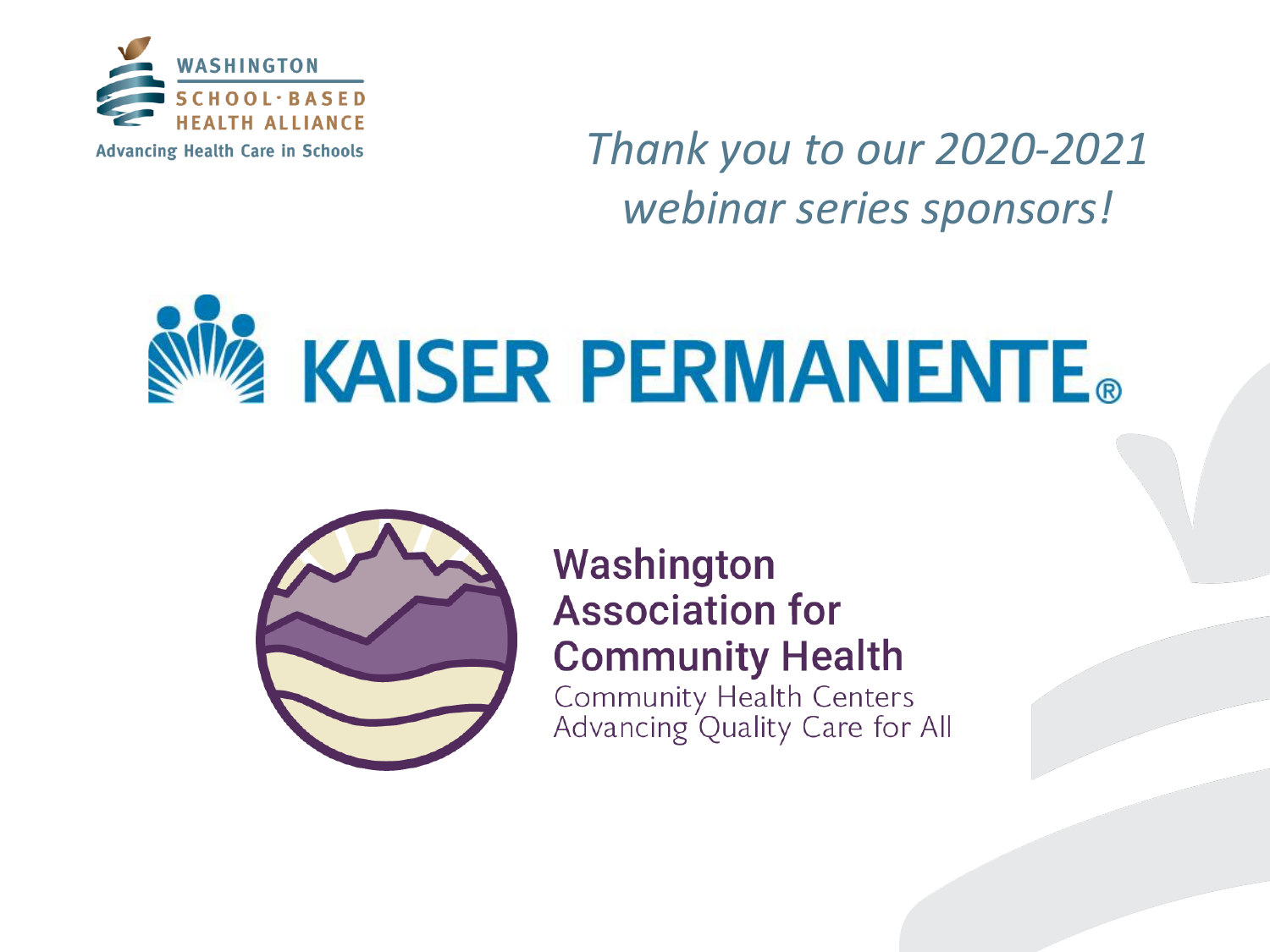

*Thank you to our 2020-2021 webinar series sponsors!*





Washington **Association for Community Health** Community Health Centers<br>Advancing Quality Care for All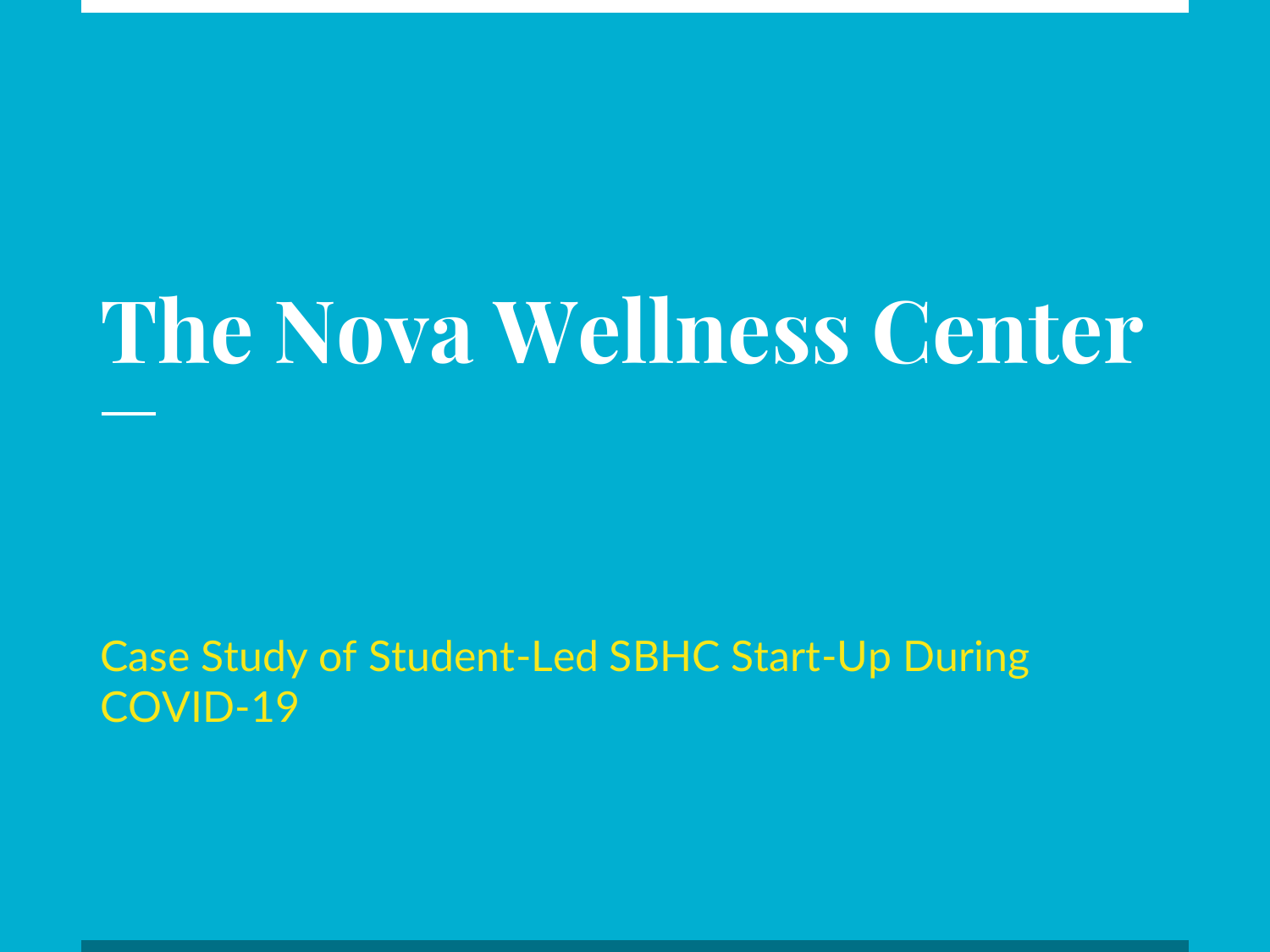# **The Nova Wellness Center**

Case Study of Student-Led SBHC Start-Up During COVID-19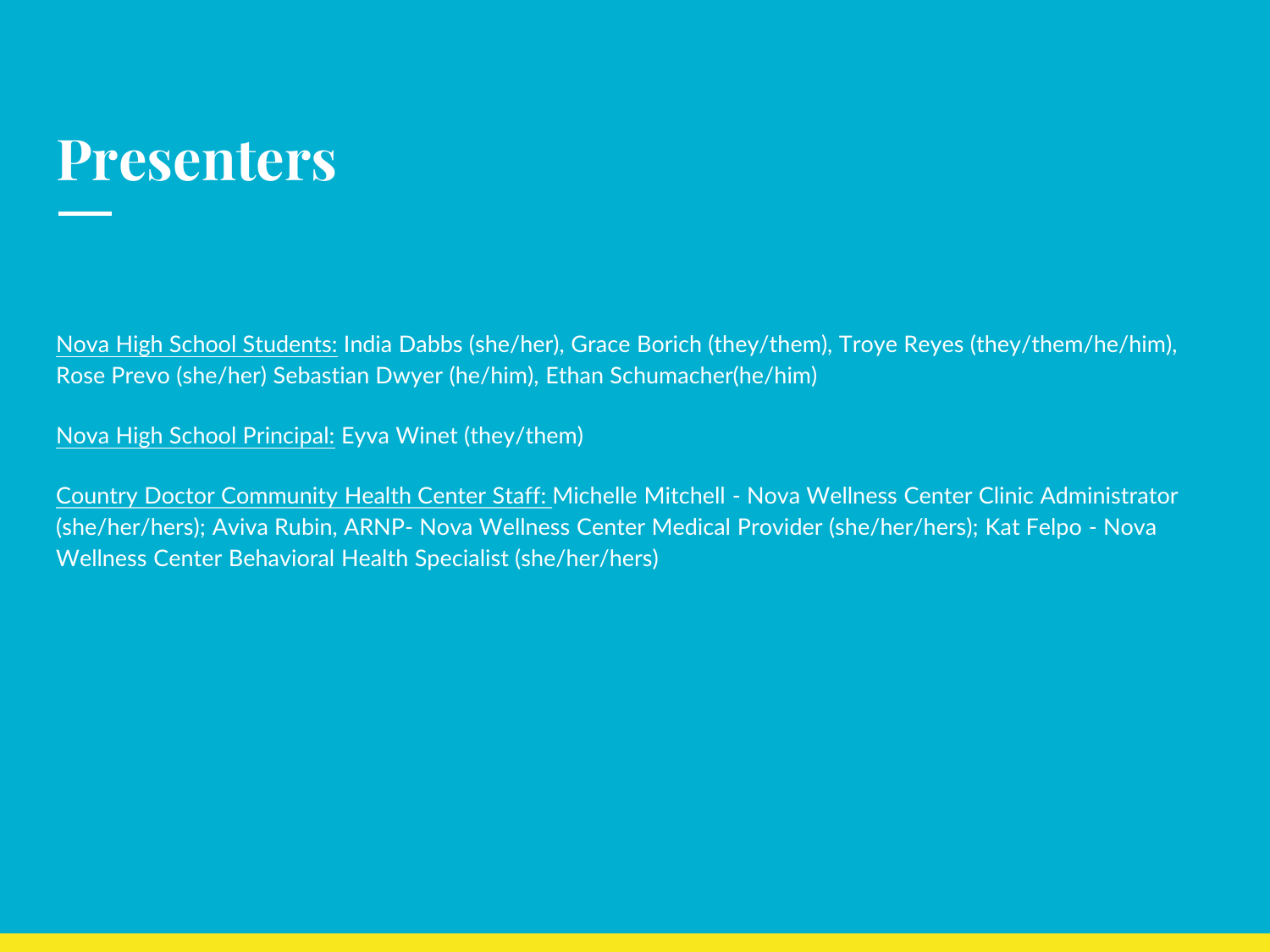#### **Presenters**

Nova High School Students: India Dabbs (she/her), Grace Borich (they/them), Troye Reyes (they/them/he/him), Rose Prevo (she/her) Sebastian Dwyer (he/him), Ethan Schumacher(he/him)

Nova High School Principal: Eyva Winet (they/them)

Country Doctor Community Health Center Staff: Michelle Mitchell - Nova Wellness Center Clinic Administrator (she/her/hers); Aviva Rubin, ARNP- Nova Wellness Center Medical Provider (she/her/hers); Kat Felpo - Nova Wellness Center Behavioral Health Specialist (she/her/hers)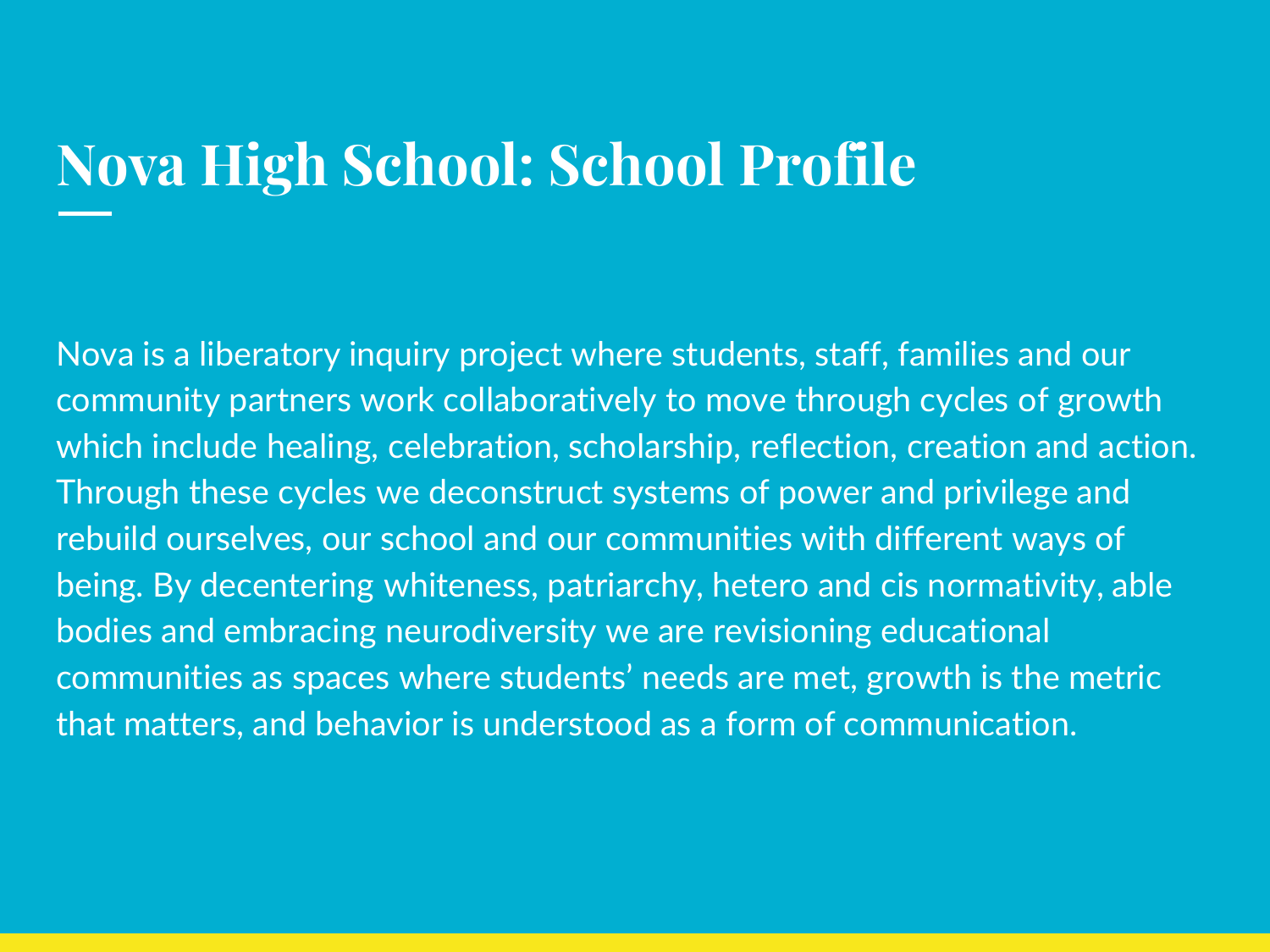### **Nova High School: School Profile**

Nova is a liberatory inquiry project where students, staff, families and our community partners work collaboratively to move through cycles of growth which include healing, celebration, scholarship, reflection, creation and action. Through these cycles we deconstruct systems of power and privilege and rebuild ourselves, our school and our communities with different ways of being. By decentering whiteness, patriarchy, hetero and cis normativity, able bodies and embracing neurodiversity we are revisioning educational communities as spaces where students' needs are met, growth is the metric that matters, and behavior is understood as a form of communication.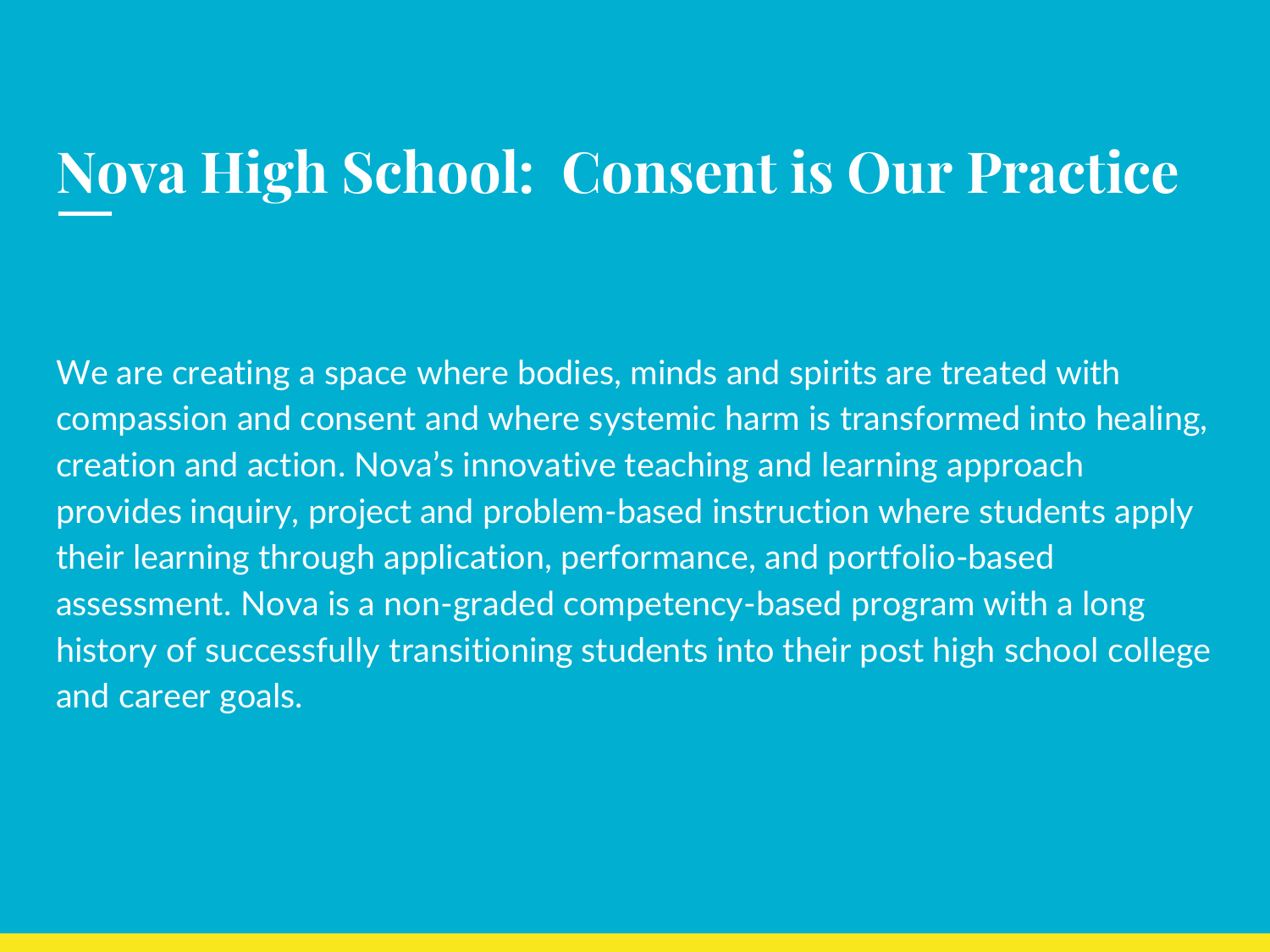#### **Nova High School: Consent is Our Practice**

We are creating a space where bodies, minds and spirits are treated with compassion and consent and where systemic harm is transformed into healing, creation and action. Nova's innovative teaching and learning approach provides inquiry, project and problem-based instruction where students apply their learning through application, performance, and portfolio-based assessment. Nova is a non-graded competency-based program with a long history of successfully transitioning students into their post high school college and career goals.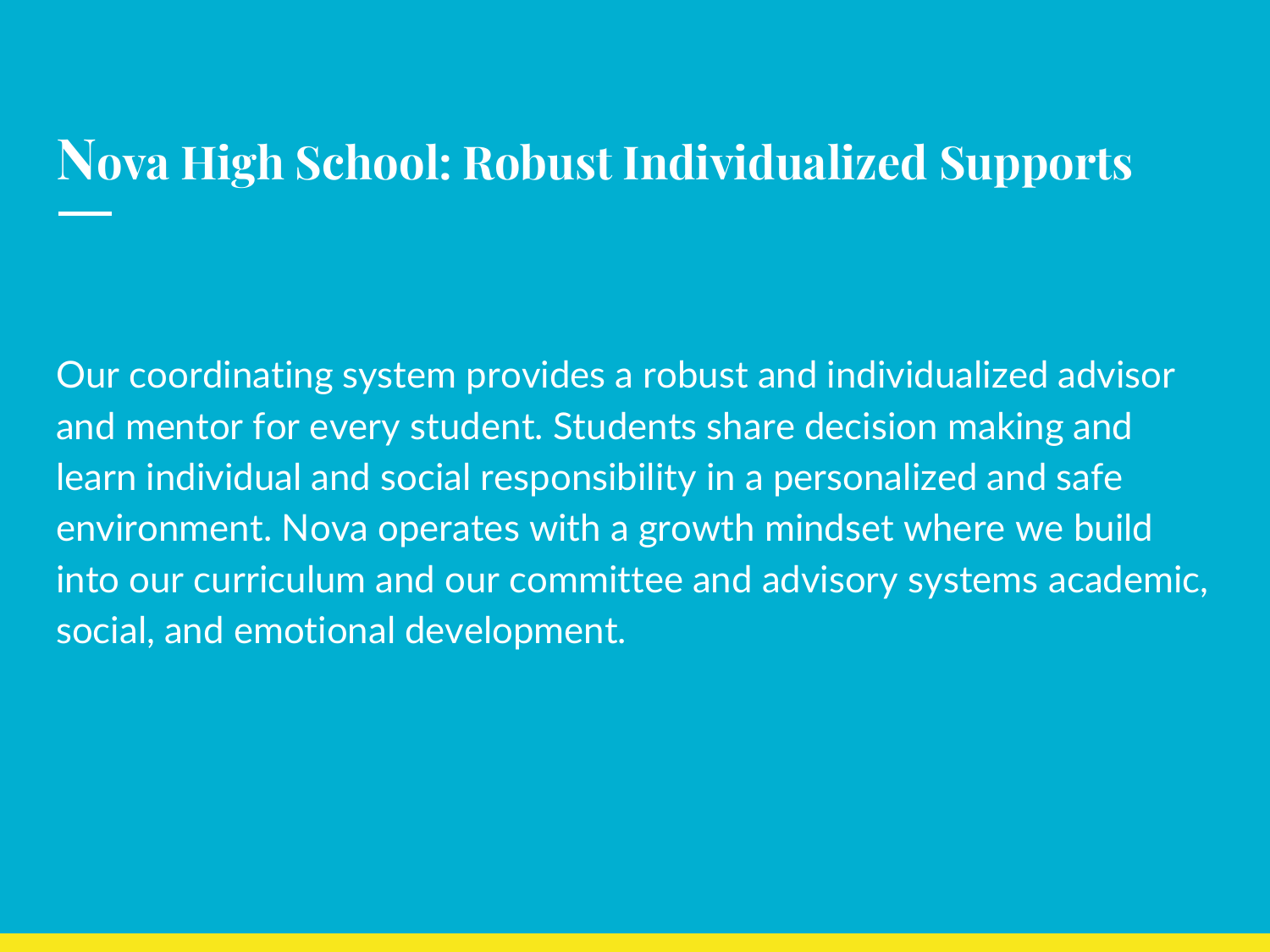#### **Nova High School: Robust Individualized Supports**

Our coordinating system provides a robust and individualized advisor and mentor for every student. Students share decision making and learn individual and social responsibility in a personalized and safe environment. Nova operates with a growth mindset where we build into our curriculum and our committee and advisory systems academic, social, and emotional development.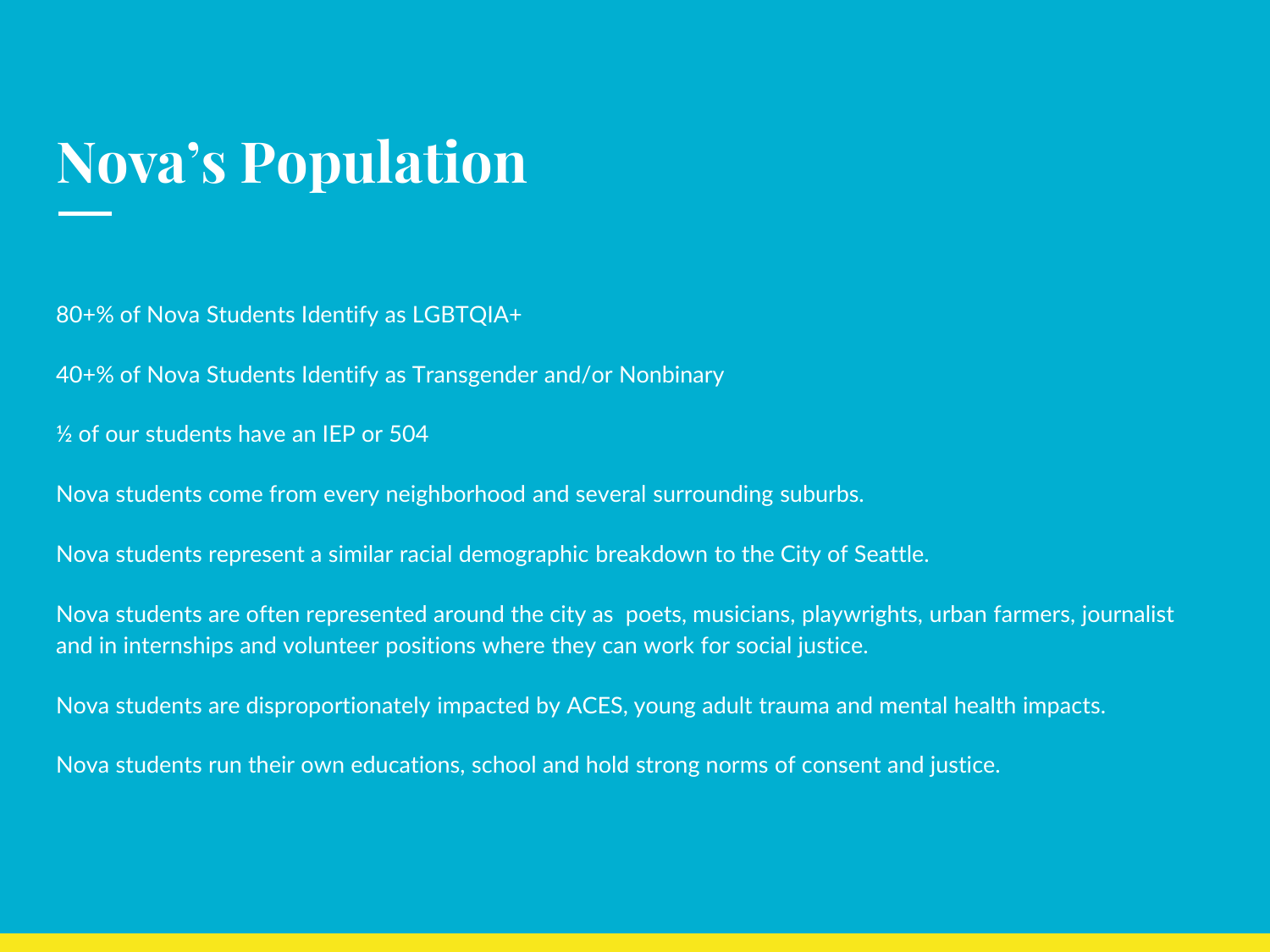#### **Nova's Population**

80+% of Nova Students Identify as LGBTQIA+

40+% of Nova Students Identify as Transgender and/or Nonbinary

½ of our students have an IEP or 504

Nova students come from every neighborhood and several surrounding suburbs.

Nova students represent a similar racial demographic breakdown to the City of Seattle.

Nova students are often represented around the city as poets, musicians, playwrights, urban farmers, journalist and in internships and volunteer positions where they can work for social justice.

Nova students are disproportionately impacted by ACES, young adult trauma and mental health impacts.

Nova students run their own educations, school and hold strong norms of consent and justice.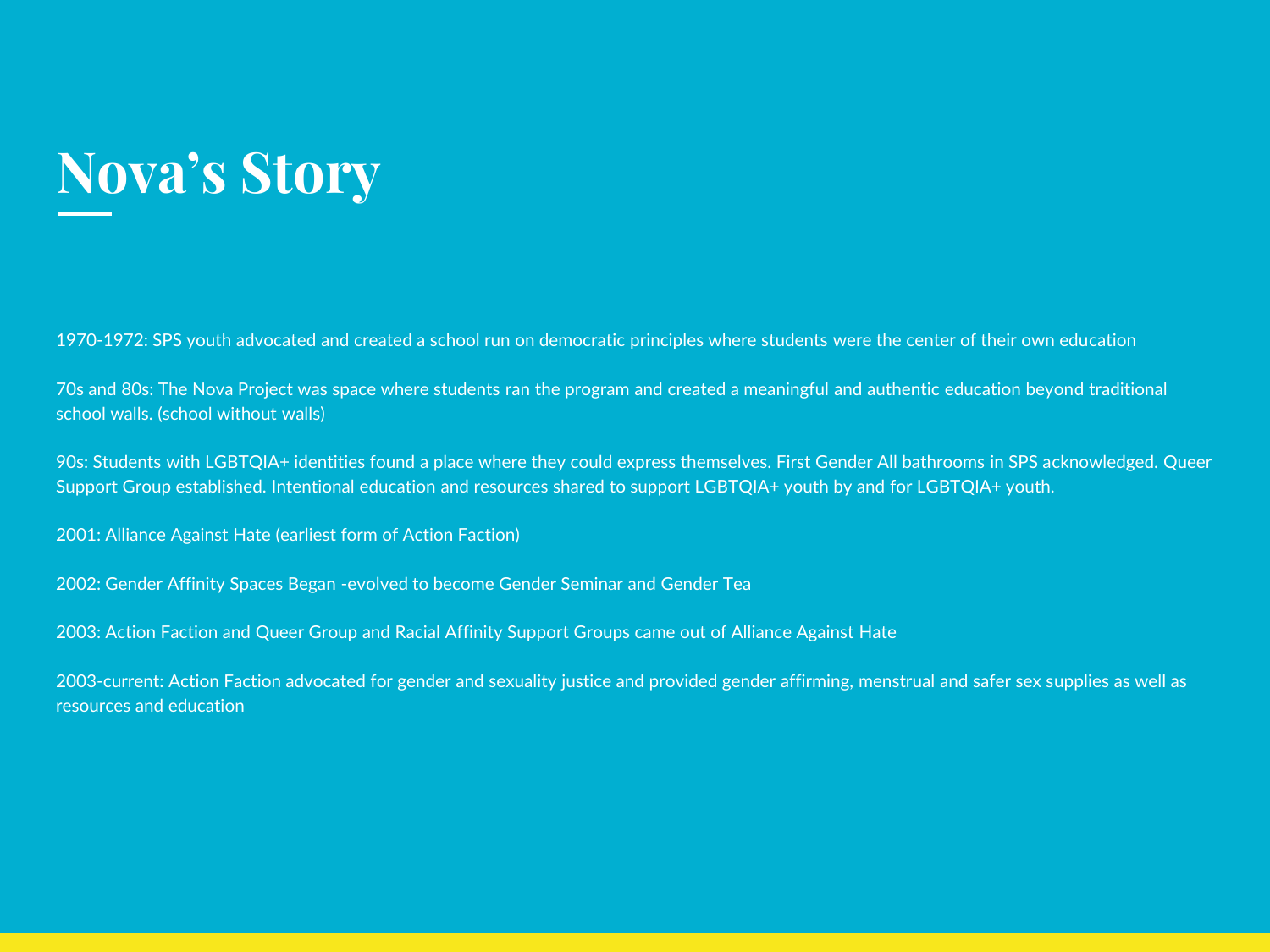### **Nova's Story**

1970-1972: SPS youth advocated and created a school run on democratic principles where students were the center of their own education

70s and 80s: The Nova Project was space where students ran the program and created a meaningful and authentic education beyond traditional school walls. (school without walls)

90s: Students with LGBTQIA+ identities found a place where they could express themselves. First Gender All bathrooms in SPS acknowledged. Queer Support Group established. Intentional education and resources shared to support LGBTQIA+ youth by and for LGBTQIA+ youth.

2001: Alliance Against Hate (earliest form of Action Faction)

2002: Gender Affinity Spaces Began -evolved to become Gender Seminar and Gender Tea

2003: Action Faction and Queer Group and Racial Affinity Support Groups came out of Alliance Against Hate

2003-current: Action Faction advocated for gender and sexuality justice and provided gender affirming, menstrual and safer sex supplies as well as resources and education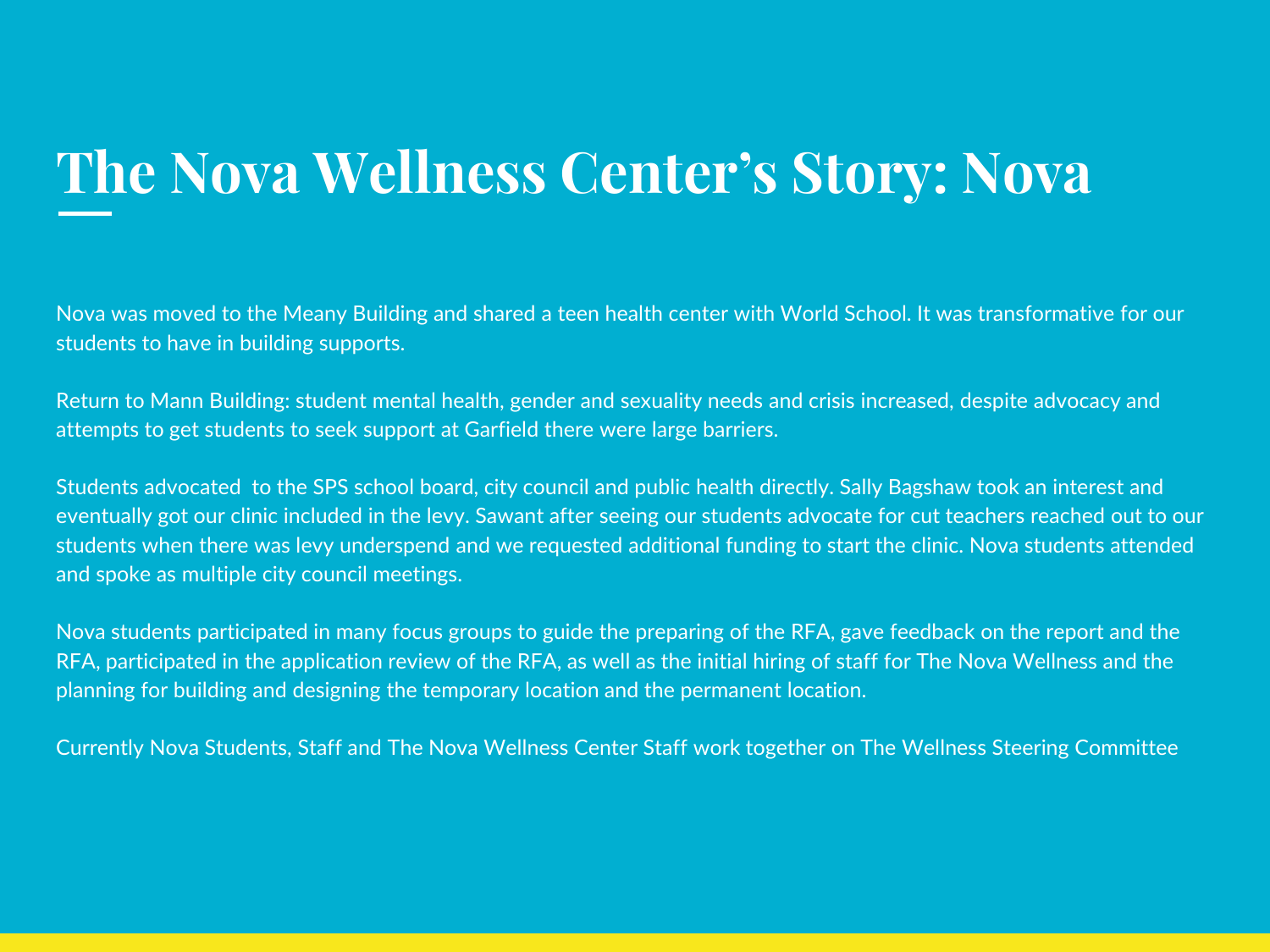### **The Nova Wellness Center's Story: Nova**

Nova was moved to the Meany Building and shared a teen health center with World School. It was transformative for our students to have in building supports.

Return to Mann Building: student mental health, gender and sexuality needs and crisis increased, despite advocacy and attempts to get students to seek support at Garfield there were large barriers.

Students advocated to the SPS school board, city council and public health directly. Sally Bagshaw took an interest and eventually got our clinic included in the levy. Sawant after seeing our students advocate for cut teachers reached out to our students when there was levy underspend and we requested additional funding to start the clinic. Nova students attended and spoke as multiple city council meetings.

Nova students participated in many focus groups to guide the preparing of the RFA, gave feedback on the report and the RFA, participated in the application review of the RFA, as well as the initial hiring of staff for The Nova Wellness and the planning for building and designing the temporary location and the permanent location.

Currently Nova Students, Staff and The Nova Wellness Center Staff work together on The Wellness Steering Committee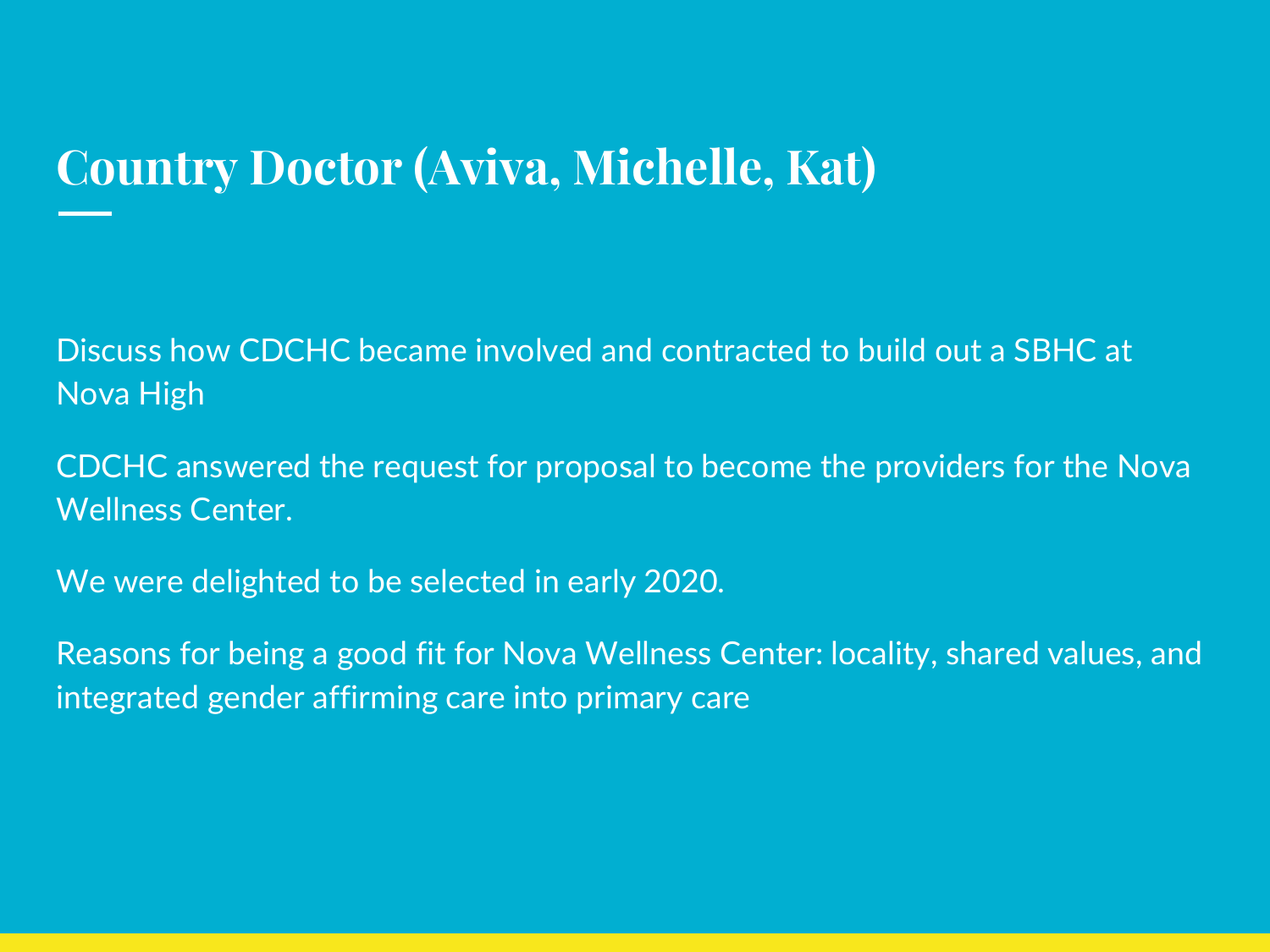#### **Country Doctor (Aviva, Michelle, Kat)**

Discuss how CDCHC became involved and contracted to build out a SBHC at Nova High

CDCHC answered the request for proposal to become the providers for the Nova Wellness Center.

We were delighted to be selected in early 2020.

Reasons for being a good fit for Nova Wellness Center: locality, shared values, and integrated gender affirming care into primary care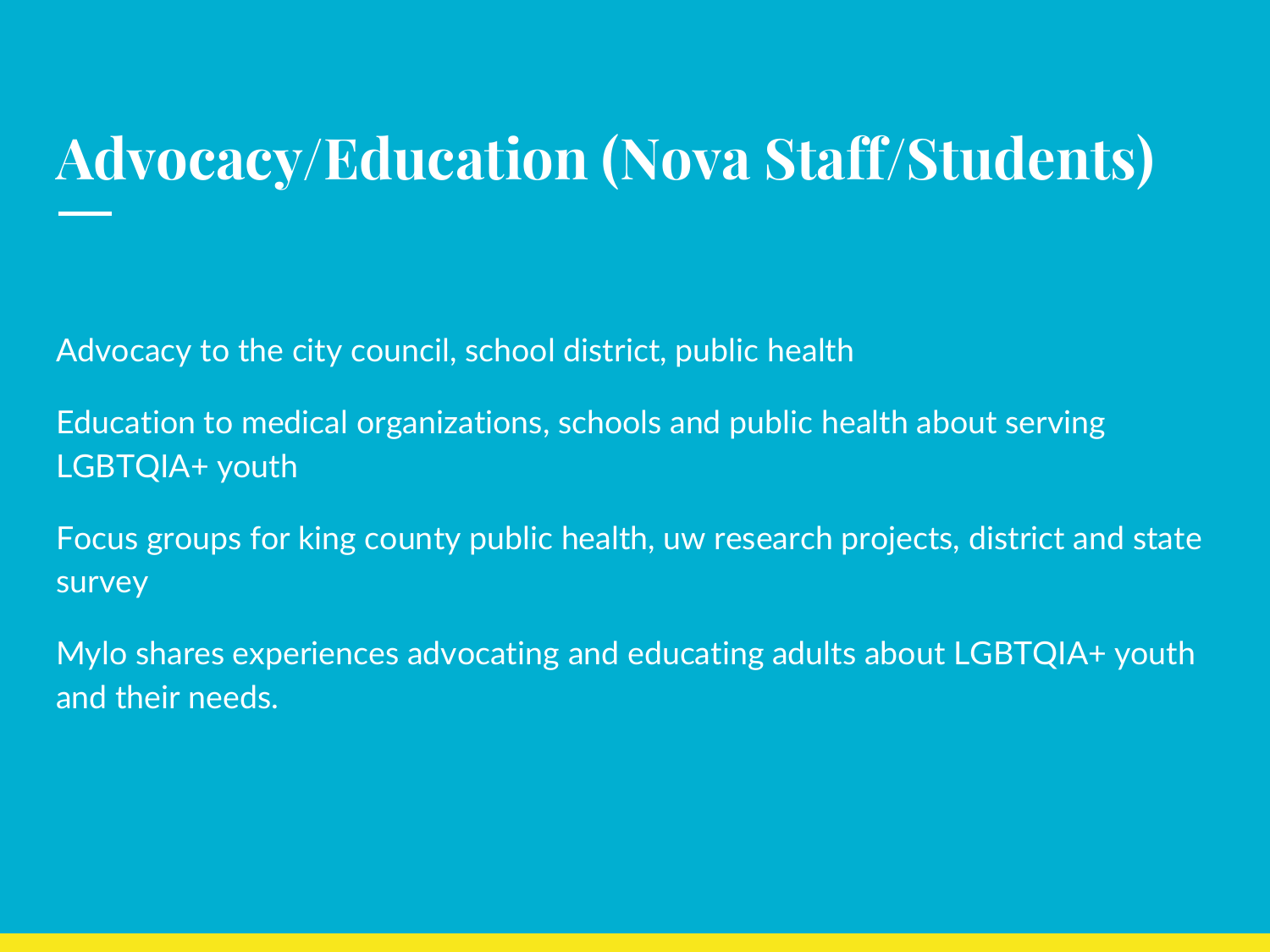### **Advocacy/Education (Nova Staff/Students)**

Advocacy to the city council, school district, public health

Education to medical organizations, schools and public health about serving LGBTQIA+ youth

Focus groups for king county public health, uw research projects, district and state survey

Mylo shares experiences advocating and educating adults about LGBTQIA+ youth and their needs.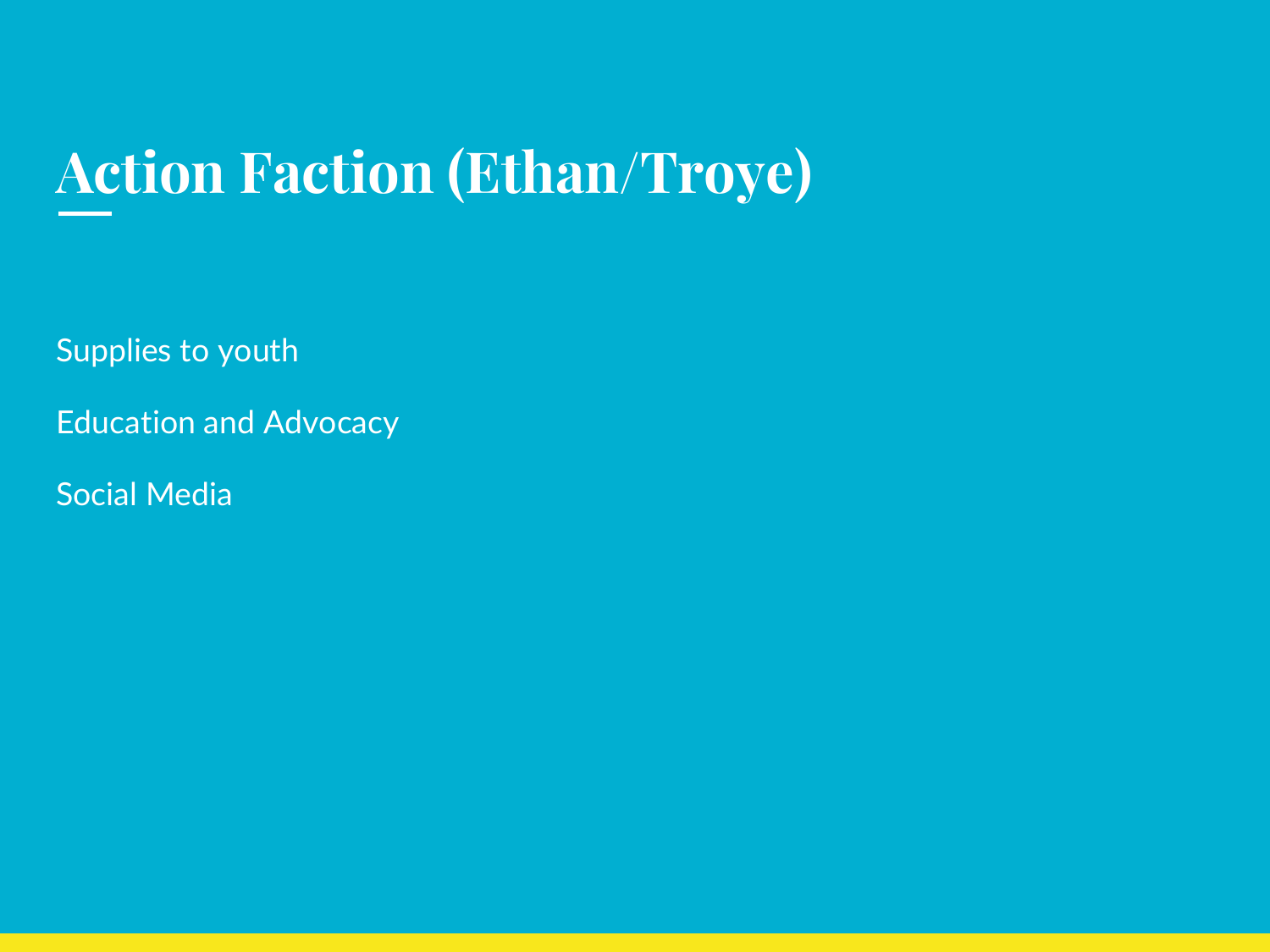### **Action Faction (Ethan/Troye)**

Supplies to youth

Education and Advocacy

Social Media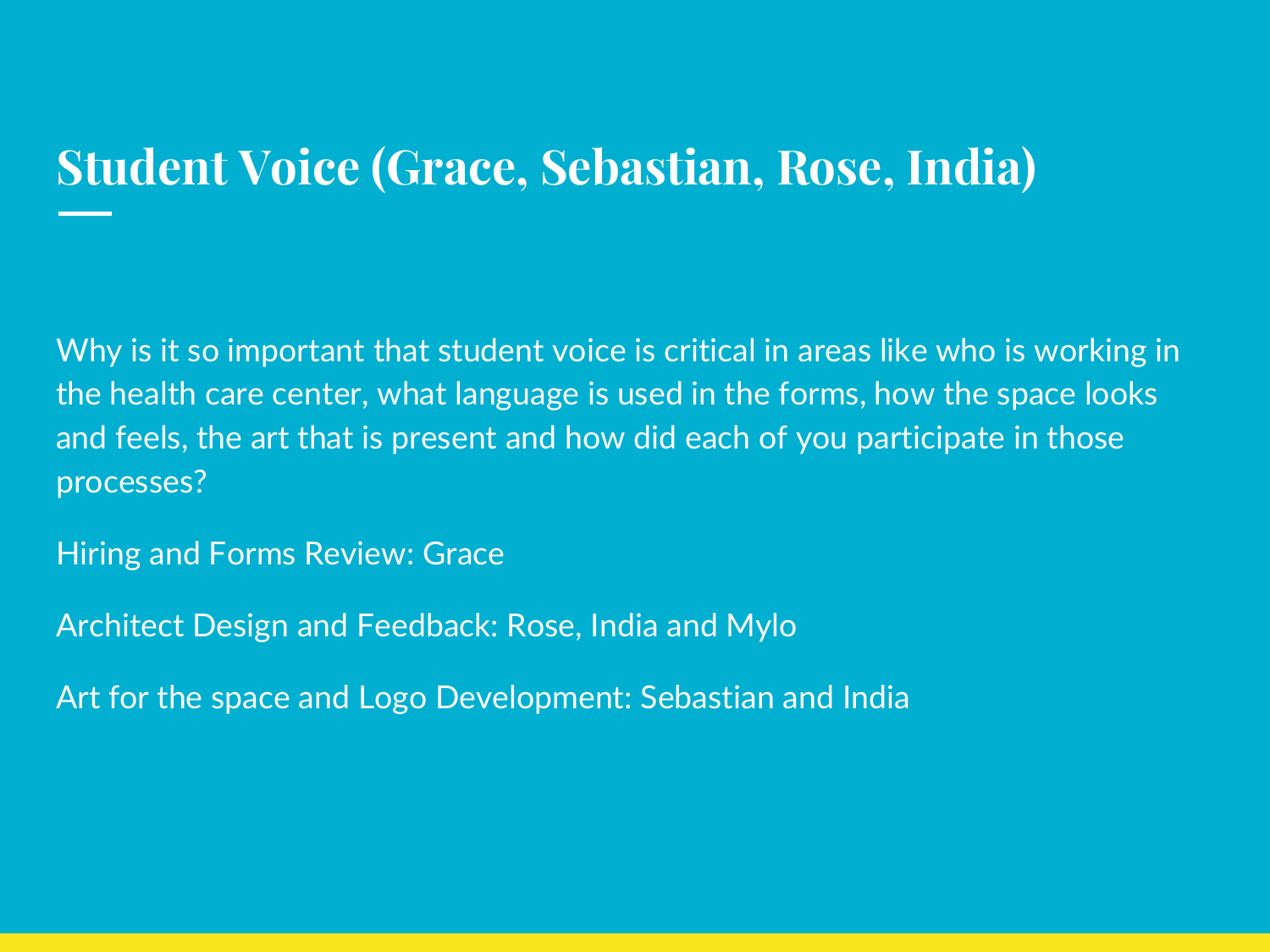### **Student Voice (Grace, Sebastian, Rose, India)**

Why is it so important that student voice is critical in areas like who is working in the health care center, what language is used in the forms, how the space looks and feels, the art that is present and how did each of you participate in those processes?

Hiring and Forms Review: Grace

Architect Design and Feedback: Rose, India and Mylo

Art for the space and Logo Development: Sebastian and India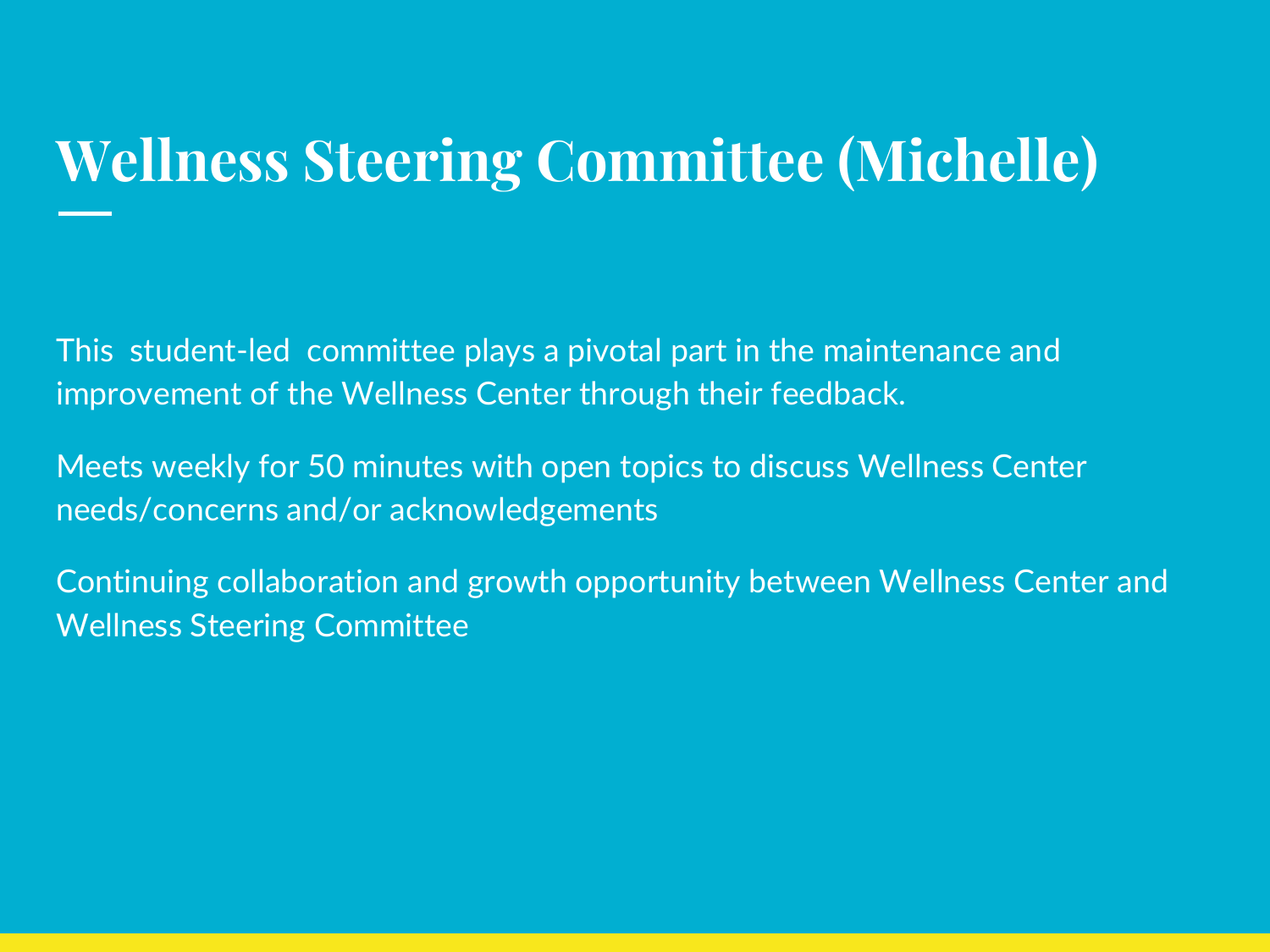### **Wellness Steering Committee (Michelle)**

This student-led committee plays a pivotal part in the maintenance and improvement of the Wellness Center through their feedback.

Meets weekly for 50 minutes with open topics to discuss Wellness Center needs/concerns and/or acknowledgements

Continuing collaboration and growth opportunity between Wellness Center and Wellness Steering Committee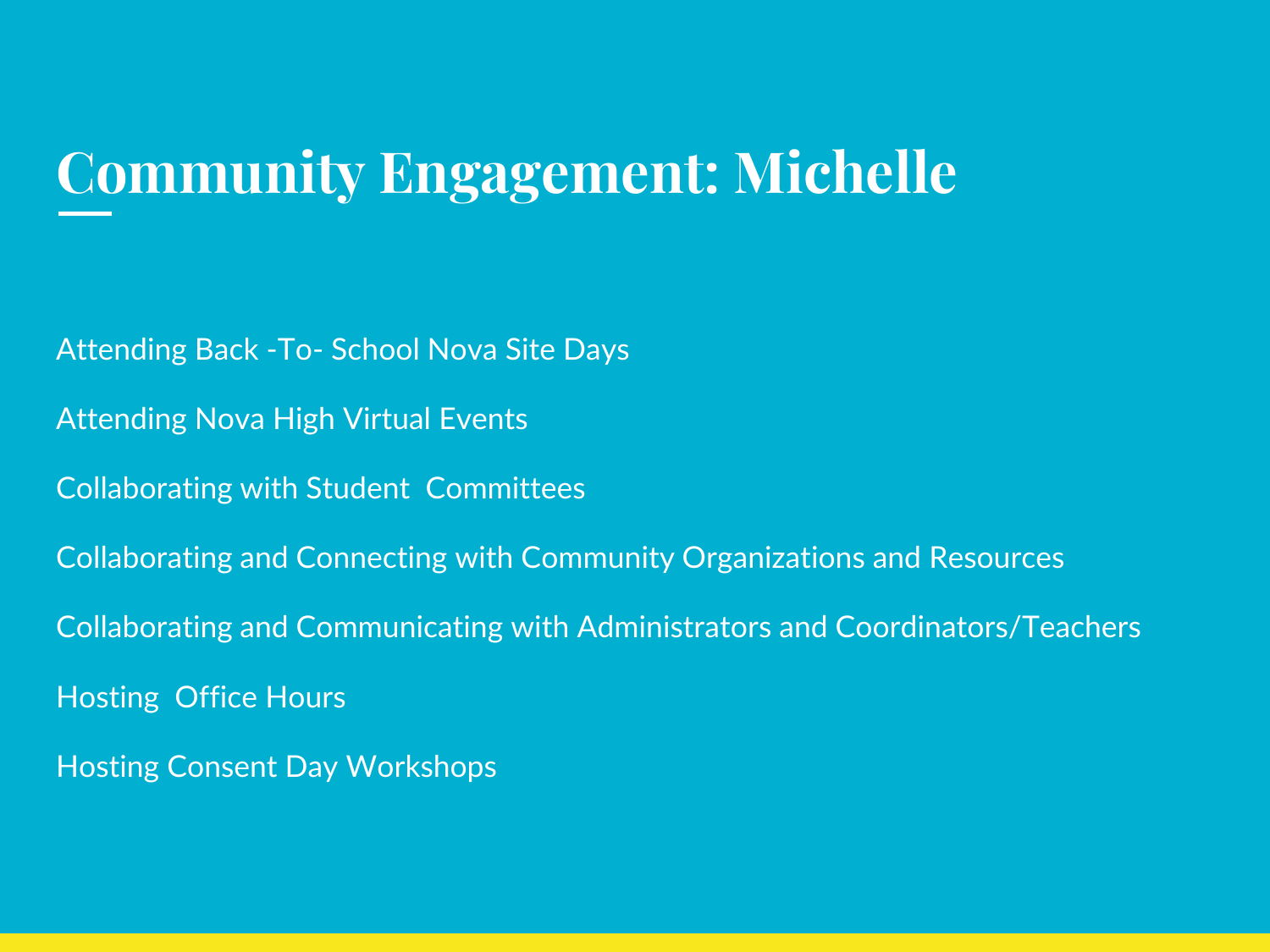### **Community Engagement: Michelle**

Attending Back -To- School Nova Site Days

Attending Nova High Virtual Events

Collaborating with Student Committees

Collaborating and Connecting with Community Organizations and Resources

Collaborating and Communicating with Administrators and Coordinators/Teachers

Hosting Office Hours

Hosting Consent Day Workshops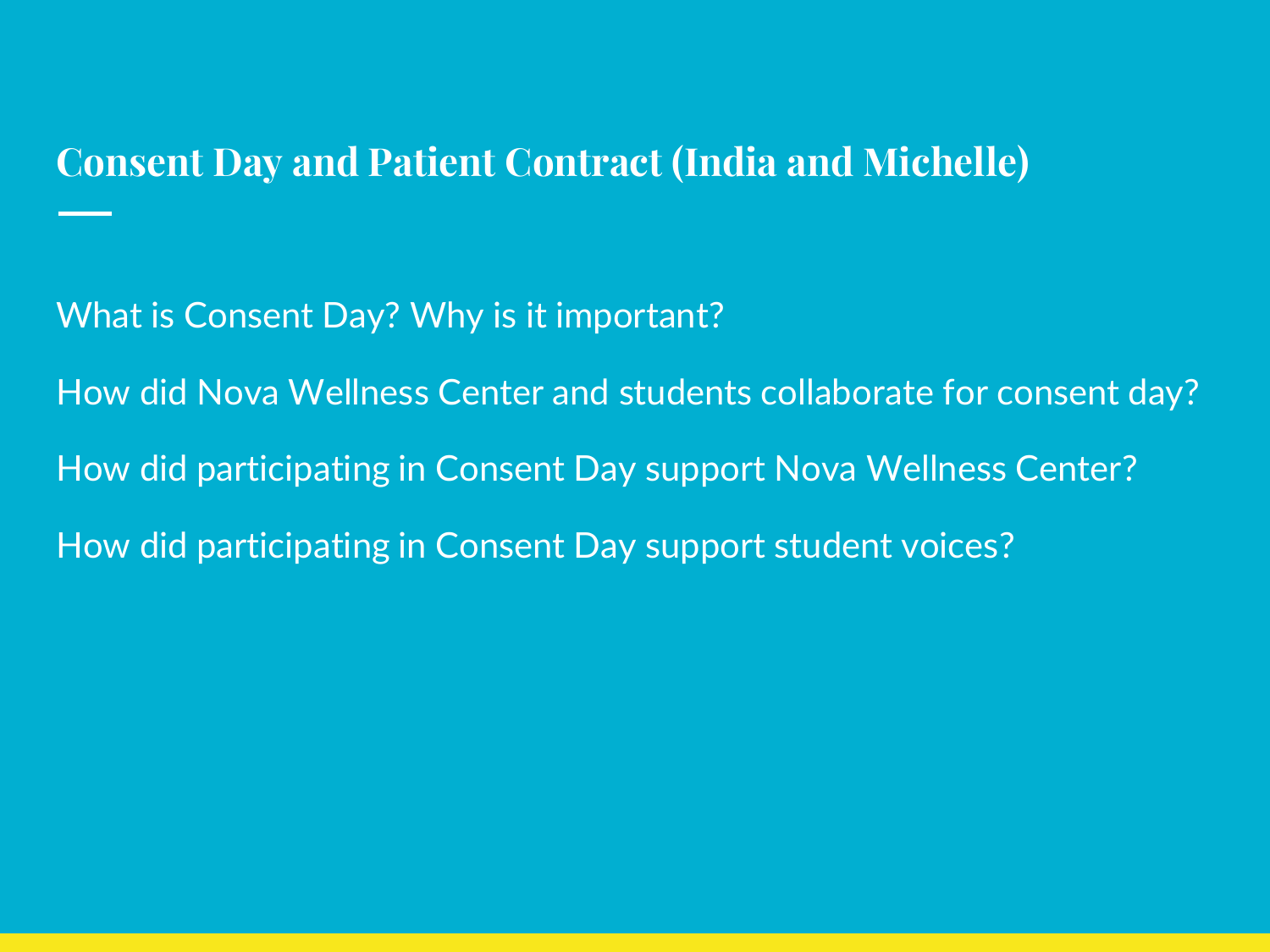#### **Consent Day and Patient Contract (India and Michelle)**

What is Consent Day? Why is it important?

How did Nova Wellness Center and students collaborate for consent day? How did participating in Consent Day support Nova Wellness Center? How did participating in Consent Day support student voices?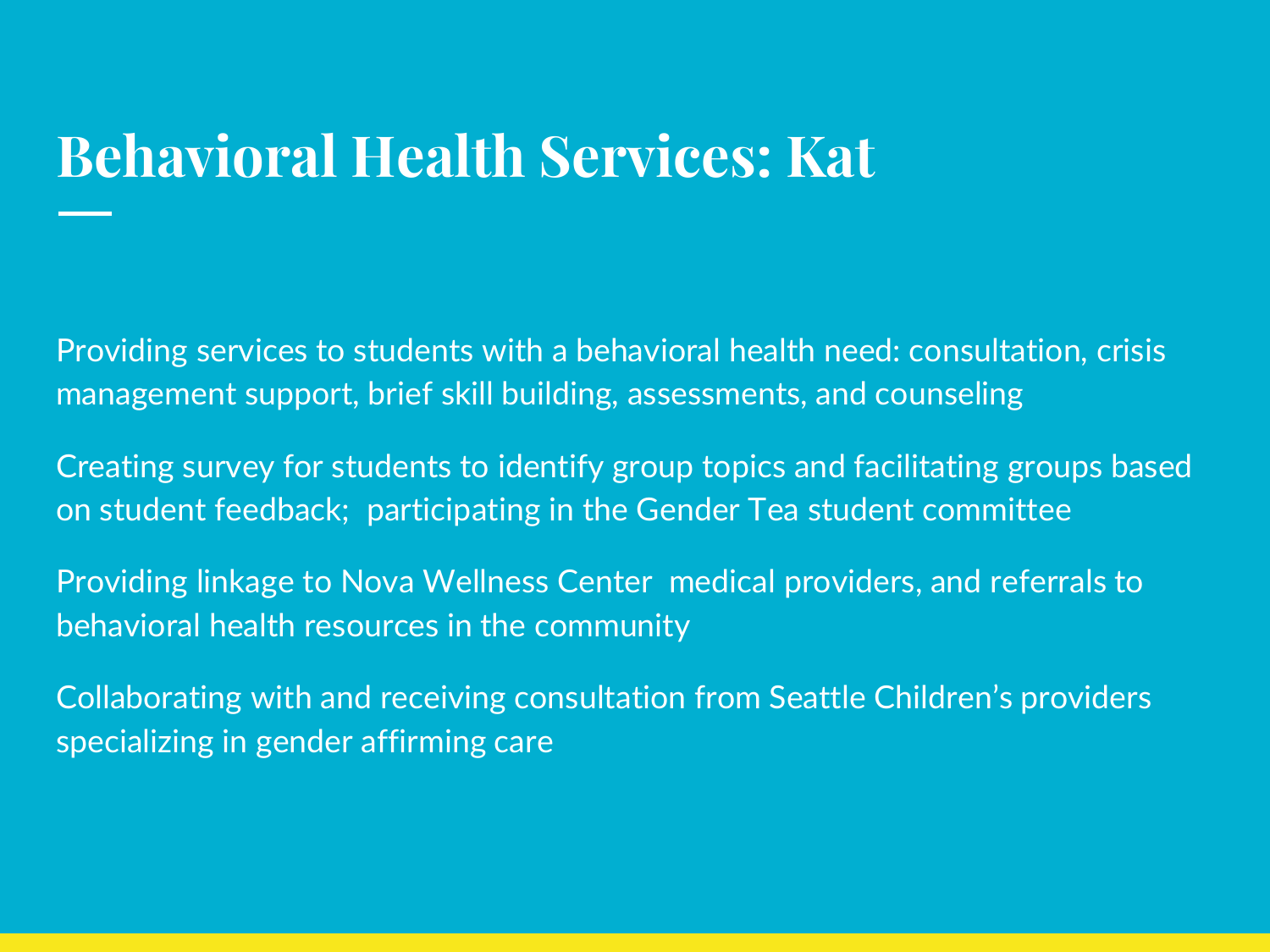### **Behavioral Health Services: Kat**

Providing services to students with a behavioral health need: consultation, crisis management support, brief skill building, assessments, and counseling

Creating survey for students to identify group topics and facilitating groups based on student feedback; participating in the Gender Tea student committee

Providing linkage to Nova Wellness Center medical providers, and referrals to behavioral health resources in the community

Collaborating with and receiving consultation from Seattle Children's providers specializing in gender affirming care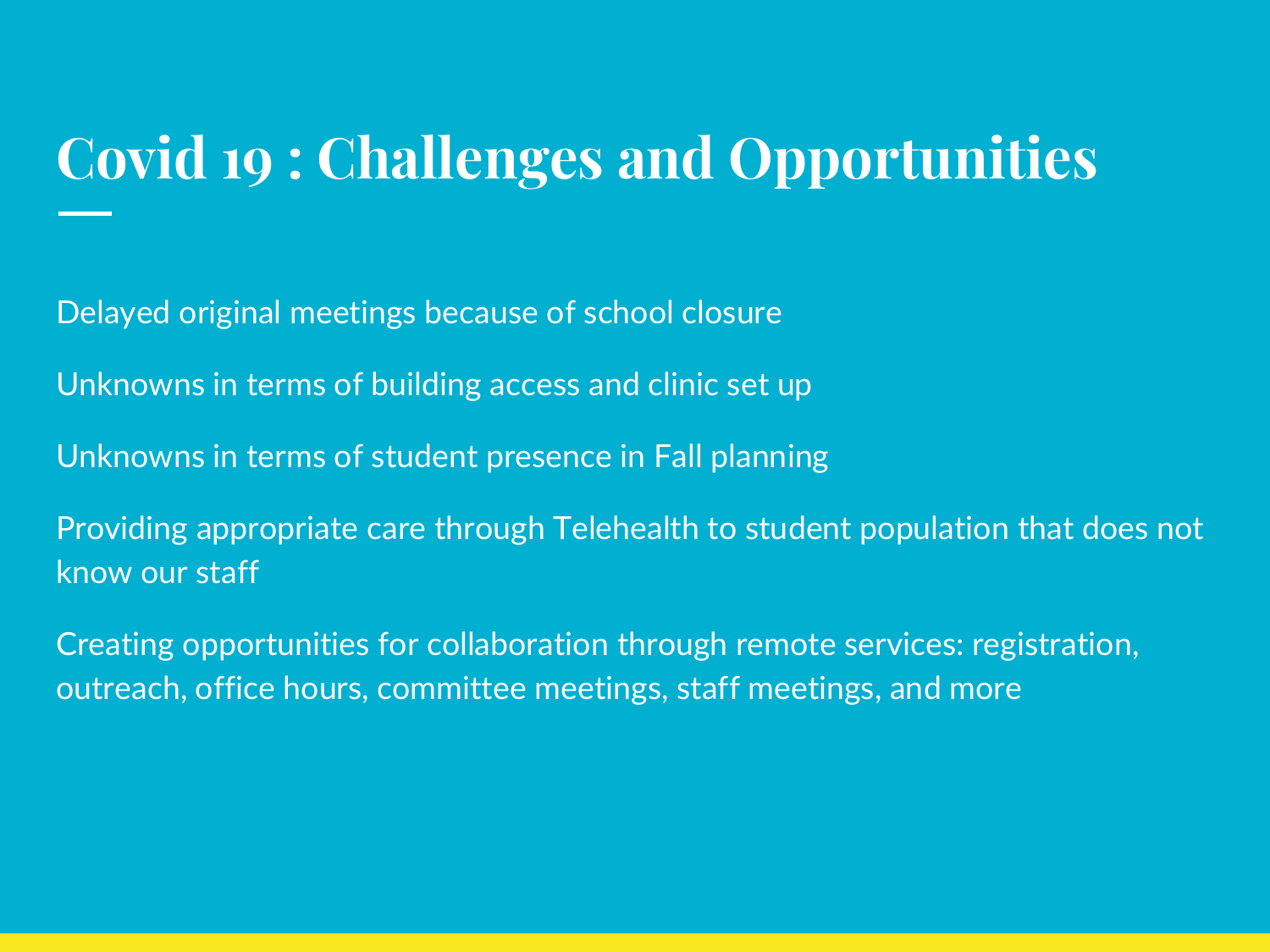### **Covid 19 : Challenges and Opportunities**

Delayed original meetings because of school closure

Unknowns in terms of building access and clinic set up

Unknowns in terms of student presence in Fall planning

Providing appropriate care through Telehealth to student population that does not know our staff

Creating opportunities for collaboration through remote services: registration, outreach, office hours, committee meetings, staff meetings, and more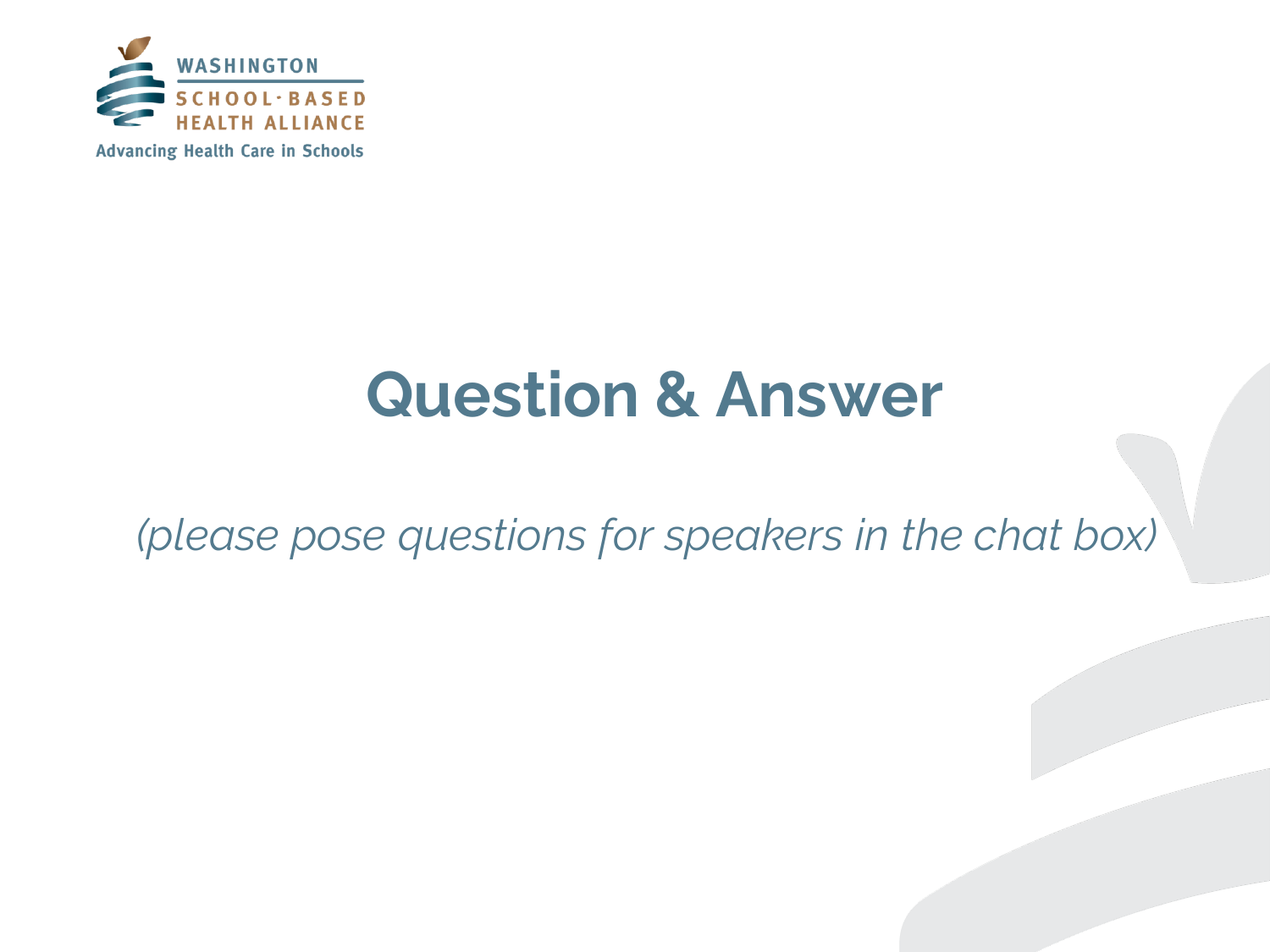

### **Question & Answer**

*(please pose questions for speakers in the chat box)*